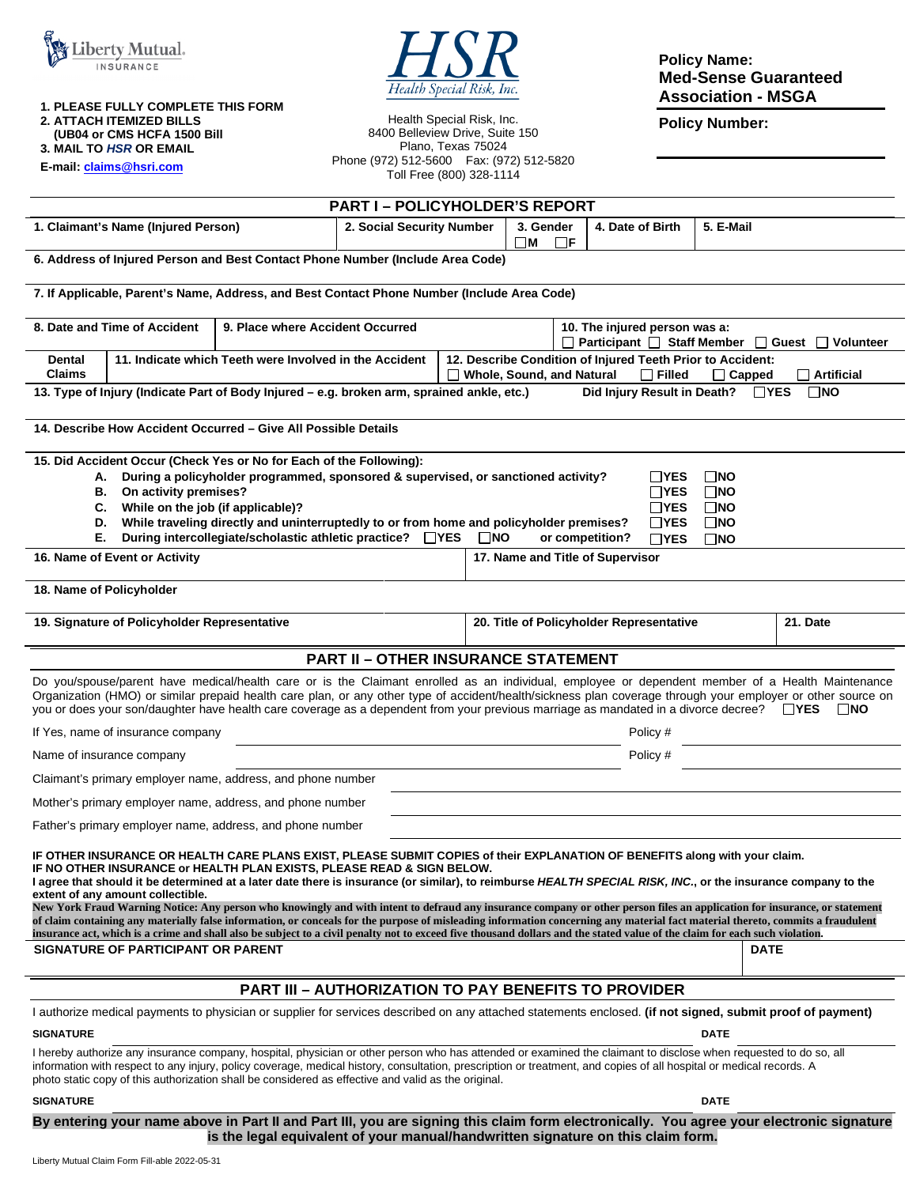

Health Special Risk, Inc.

**Policy Name: Med-Sense Guaranteed Association - MSGA** 

**Policy Number:** 

**2. ATTACH ITEMIZED BILLS** 

 **(UB04 or CMS HCFA 1500 Bill 3. MAIL TO** *HSR* **OR EMAIL** 

**1. PLEASE FULLY COMPLETE THIS FORM** 

**E-mail[: claims@hsri.com](mailto:claims@hsri.com)**

Health Special Risk, Inc. 8400 Belleview Drive, Suite 150 Plano, Texas 75024 Phone (972) 512-5600 Fax: (972) 512-5820 Toll Free (800) 328-1114

| <b>PART I-POLICYHOLDER'S REPORT</b>                                                                                                                                                                                                                                                                                                                                                                                                                                                                                                                                                                                                                                                                                                                                                                                                                                                                                                                        |  |                                                                                                                                                |                                                                                   |                  |           |          |
|------------------------------------------------------------------------------------------------------------------------------------------------------------------------------------------------------------------------------------------------------------------------------------------------------------------------------------------------------------------------------------------------------------------------------------------------------------------------------------------------------------------------------------------------------------------------------------------------------------------------------------------------------------------------------------------------------------------------------------------------------------------------------------------------------------------------------------------------------------------------------------------------------------------------------------------------------------|--|------------------------------------------------------------------------------------------------------------------------------------------------|-----------------------------------------------------------------------------------|------------------|-----------|----------|
| 1. Claimant's Name (Injured Person)<br>2. Social Security Number                                                                                                                                                                                                                                                                                                                                                                                                                                                                                                                                                                                                                                                                                                                                                                                                                                                                                           |  | 3. Gender                                                                                                                                      |                                                                                   | 4. Date of Birth | 5. E-Mail |          |
| $\square$ M<br>$\Box$ F<br>6. Address of Injured Person and Best Contact Phone Number (Include Area Code)                                                                                                                                                                                                                                                                                                                                                                                                                                                                                                                                                                                                                                                                                                                                                                                                                                                  |  |                                                                                                                                                |                                                                                   |                  |           |          |
| 7. If Applicable, Parent's Name, Address, and Best Contact Phone Number (Include Area Code)                                                                                                                                                                                                                                                                                                                                                                                                                                                                                                                                                                                                                                                                                                                                                                                                                                                                |  |                                                                                                                                                |                                                                                   |                  |           |          |
| 8. Date and Time of Accident<br>9. Place where Accident Occurred                                                                                                                                                                                                                                                                                                                                                                                                                                                                                                                                                                                                                                                                                                                                                                                                                                                                                           |  |                                                                                                                                                | 10. The injured person was a:<br>□ Participant □ Staff Member □ Guest □ Volunteer |                  |           |          |
| 11. Indicate which Teeth were Involved in the Accident<br>Dental<br><b>Claims</b>                                                                                                                                                                                                                                                                                                                                                                                                                                                                                                                                                                                                                                                                                                                                                                                                                                                                          |  | 12. Describe Condition of Injured Teeth Prior to Accident:<br>Whole, Sound, and Natural<br>$\Box$ Artificial<br>$\Box$ Filled<br>$\Box$ Capped |                                                                                   |                  |           |          |
| Did Injury Result in Death?<br>$\square$ NO<br>13. Type of Injury (Indicate Part of Body Injured - e.g. broken arm, sprained ankle, etc.)<br>$\Box$ YES                                                                                                                                                                                                                                                                                                                                                                                                                                                                                                                                                                                                                                                                                                                                                                                                    |  |                                                                                                                                                |                                                                                   |                  |           |          |
| 14. Describe How Accident Occurred – Give All Possible Details                                                                                                                                                                                                                                                                                                                                                                                                                                                                                                                                                                                                                                                                                                                                                                                                                                                                                             |  |                                                                                                                                                |                                                                                   |                  |           |          |
| 15. Did Accident Occur (Check Yes or No for Each of the Following):<br>During a policyholder programmed, sponsored & supervised, or sanctioned activity?<br>$\Box$ YES<br>$\Box$ NO<br>А.<br>On activity premises?<br>$\Box$ YES<br>$\square$ NO<br>В.<br>While on the job (if applicable)?<br>C.<br>$\Box$ YES<br>$\square$ NO<br>While traveling directly and uninterruptedly to or from home and policyholder premises?<br>$\Box$ YES<br>$\square$ NO<br>D.<br>During intercollegiate/scholastic athletic practice? □YES<br>Е.<br>$\square$ NO<br>or competition?<br>$\Box$ YES<br>$\square$ NO<br>16. Name of Event or Activity<br>17. Name and Title of Supervisor                                                                                                                                                                                                                                                                                    |  |                                                                                                                                                |                                                                                   |                  |           |          |
| 18. Name of Policyholder                                                                                                                                                                                                                                                                                                                                                                                                                                                                                                                                                                                                                                                                                                                                                                                                                                                                                                                                   |  |                                                                                                                                                |                                                                                   |                  |           |          |
| 19. Signature of Policyholder Representative                                                                                                                                                                                                                                                                                                                                                                                                                                                                                                                                                                                                                                                                                                                                                                                                                                                                                                               |  |                                                                                                                                                | 20. Title of Policyholder Representative                                          |                  |           | 21. Date |
| <b>PART II - OTHER INSURANCE STATEMENT</b>                                                                                                                                                                                                                                                                                                                                                                                                                                                                                                                                                                                                                                                                                                                                                                                                                                                                                                                 |  |                                                                                                                                                |                                                                                   |                  |           |          |
| Do you/spouse/parent have medical/health care or is the Claimant enrolled as an individual, employee or dependent member of a Health Maintenance<br>Organization (HMO) or similar prepaid health care plan, or any other type of accident/health/sickness plan coverage through your employer or other source on<br>you or does your son/daughter have health care coverage as a dependent from your previous marriage as mandated in a divorce decree?<br>∐ YES<br>∐NO                                                                                                                                                                                                                                                                                                                                                                                                                                                                                    |  |                                                                                                                                                |                                                                                   |                  |           |          |
| If Yes, name of insurance company                                                                                                                                                                                                                                                                                                                                                                                                                                                                                                                                                                                                                                                                                                                                                                                                                                                                                                                          |  |                                                                                                                                                | Policy #                                                                          |                  |           |          |
| Name of insurance company                                                                                                                                                                                                                                                                                                                                                                                                                                                                                                                                                                                                                                                                                                                                                                                                                                                                                                                                  |  |                                                                                                                                                | Policy #                                                                          |                  |           |          |
| Claimant's primary employer name, address, and phone number                                                                                                                                                                                                                                                                                                                                                                                                                                                                                                                                                                                                                                                                                                                                                                                                                                                                                                |  |                                                                                                                                                |                                                                                   |                  |           |          |
| Mother's primary employer name, address, and phone number                                                                                                                                                                                                                                                                                                                                                                                                                                                                                                                                                                                                                                                                                                                                                                                                                                                                                                  |  |                                                                                                                                                |                                                                                   |                  |           |          |
| Father's primary employer name, address, and phone number                                                                                                                                                                                                                                                                                                                                                                                                                                                                                                                                                                                                                                                                                                                                                                                                                                                                                                  |  |                                                                                                                                                |                                                                                   |                  |           |          |
| IF OTHER INSURANCE OR HEALTH CARE PLANS EXIST, PLEASE SUBMIT COPIES of their EXPLANATION OF BENEFITS along with your claim.<br>IF NO OTHER INSURANCE or HEALTH PLAN EXISTS, PLEASE READ & SIGN BELOW.<br>I agree that should it be determined at a later date there is insurance (or similar), to reimburse HEALTH SPECIAL RISK, INC., or the insurance company to the<br>extent of any amount collectible.<br>New York Fraud Warning Notice: Any person who knowingly and with intent to defraud any insurance company or other person files an application for insurance, or statement<br>of claim containing any materially false information, or conceals for the purpose of misleading information concerning any material fact material thereto, commits a fraudulent<br>insurance act, which is a crime and shall also be subject to a civil penalty not to exceed five thousand dollars and the stated value of the claim for each such violation. |  |                                                                                                                                                |                                                                                   |                  |           |          |
| SIGNATURE OF PARTICIPANT OR PARENT                                                                                                                                                                                                                                                                                                                                                                                                                                                                                                                                                                                                                                                                                                                                                                                                                                                                                                                         |  |                                                                                                                                                | DATE                                                                              |                  |           |          |
| <b>PART III - AUTHORIZATION TO PAY BENEFITS TO PROVIDER</b>                                                                                                                                                                                                                                                                                                                                                                                                                                                                                                                                                                                                                                                                                                                                                                                                                                                                                                |  |                                                                                                                                                |                                                                                   |                  |           |          |
| I authorize medical payments to physician or supplier for services described on any attached statements enclosed. (if not signed, submit proof of payment)                                                                                                                                                                                                                                                                                                                                                                                                                                                                                                                                                                                                                                                                                                                                                                                                 |  |                                                                                                                                                |                                                                                   |                  |           |          |
| <b>SIGNATURE</b><br><b>DATE</b>                                                                                                                                                                                                                                                                                                                                                                                                                                                                                                                                                                                                                                                                                                                                                                                                                                                                                                                            |  |                                                                                                                                                |                                                                                   |                  |           |          |
| I hereby authorize any insurance company, hospital, physician or other person who has attended or examined the claimant to disclose when requested to do so, all<br>information with respect to any injury, policy coverage, medical history, consultation, prescription or treatment, and copies of all hospital or medical records. A<br>photo static copy of this authorization shall be considered as effective and valid as the original.                                                                                                                                                                                                                                                                                                                                                                                                                                                                                                             |  |                                                                                                                                                |                                                                                   |                  |           |          |

#### **SIGNATURE DATE** DATE DATE OF A SERIES AND SERIES OF A SERIES OF A SERIES OF A SERIES OF A SERIES OF A SERIES OF A SERIES OF A SERIES OF A SERIES OF A SERIES OF A SERIES OF A SERIES OF A SERIES OF A SERIES OF A SERIES OF A

**By entering your name above in Part II and Part III, you are signing this claim form electronically. You agree your electronic signature is the legal equivalent of your manual/handwritten signature on this claim form.**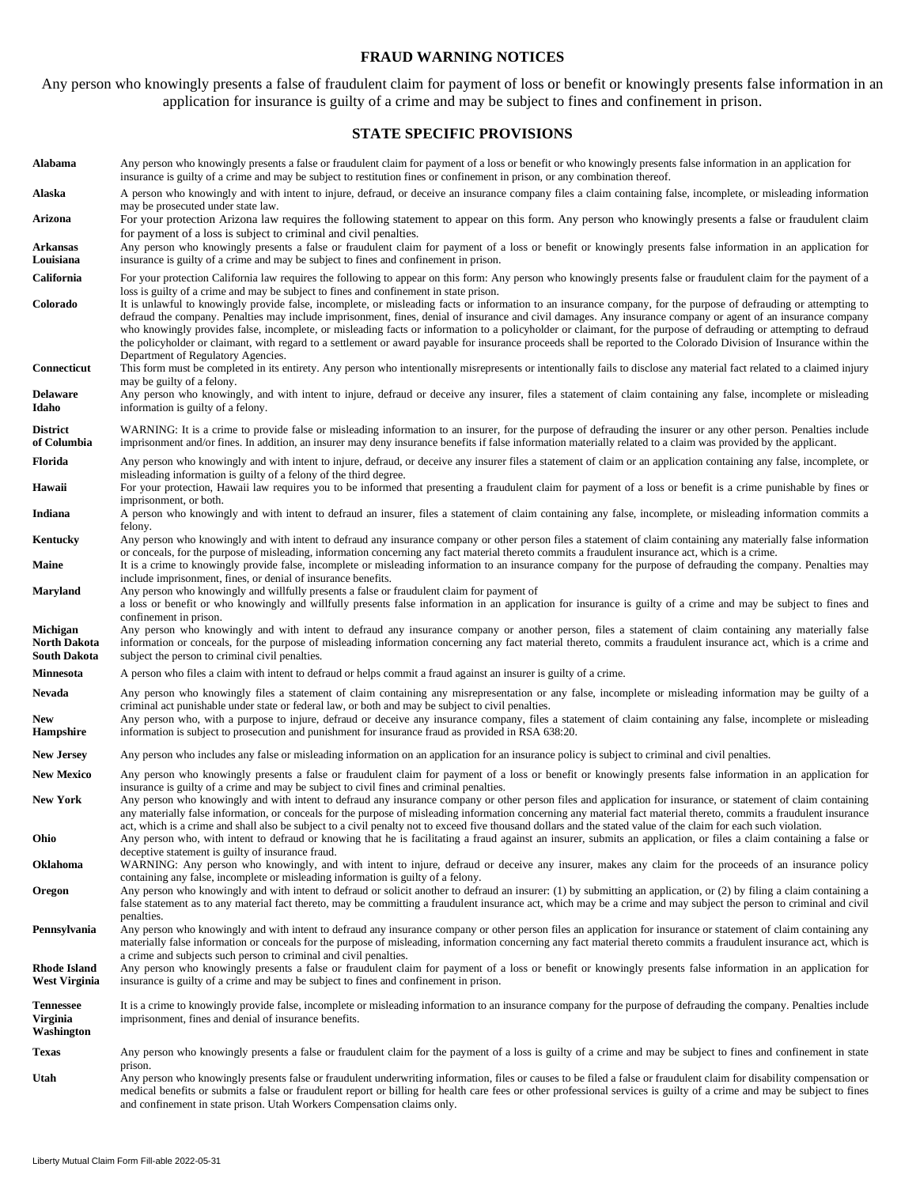#### **FRAUD WARNING NOTICES**

Any person who knowingly presents a false of fraudulent claim for payment of loss or benefit or knowingly presents false information in an application for insurance is guilty of a crime and may be subject to fines and confinement in prison.

#### **STATE SPECIFIC PROVISIONS**

**Alabama** Any person who knowingly presents a false or fraudulent claim for payment of a loss or benefit or who knowingly presents false information in an application for insurance is guilty of a crime and may be subject to restitution fines or confinement in prison, or any combination thereof. **Alaska** A person who knowingly and with intent to injure, defraud, or deceive an insurance company files a claim containing false, incomplete, or misleading information may be prosecuted under state law. **Arizona** For your protection Arizona law requires the following statement to appear on this form. Any person who knowingly presents a false or fraudulent claim for payment of a loss is subject to criminal and civil penalties. **Arkansas Louisiana**  Any person who knowingly presents a false or fraudulent claim for payment of a loss or benefit or knowingly presents false information in an application for insurance is guilty of a crime and may be subject to fines and confinement in prison. California For your protection California law requires the following to appear on this form: Any person who knowingly presents false or fraudulent claim for the payment of a loss is guilty of a crime and may be subject to fines and confinement in state prison. **Colorado** It is unlawful to knowingly provide false, incomplete, or misleading facts or information to an insurance company, for the purpose of defrauding or attempting to defraud the company. Penalties may include imprisonment, fines, denial of insurance and civil damages. Any insurance company or agent of an insurance company who knowingly provides false, incomplete, or misleading facts or information to a policyholder or claimant, for the purpose of defrauding or attempting to defraud the policyholder or claimant, with regard to a settlement or award payable for insurance proceeds shall be reported to the Colorado Division of Insurance within the Department of Regulatory Agencies. **Connecticut** This form must be completed in its entirety. Any person who intentionally misrepresents or intentionally fails to disclose any material fact related to a claimed injury may be guilty of a felony. **Delaware Idaho**  Any person who knowingly, and with intent to injure, defraud or deceive any insurer, files a statement of claim containing any false, incomplete or misleading information is guilty of a felony. **District of Columbia**  WARNING: It is a crime to provide false or misleading information to an insurer, for the purpose of defrauding the insurer or any other person. Penalties include imprisonment and/or fines. In addition, an insurer may deny insurance benefits if false information materially related to a claim was provided by the applicant. Florida Any person who knowingly and with intent to injure, defraud, or deceive any insurer files a statement of claim or an application containing any false, incomplete, or misleading information is guilty of a felony of the third degree. Hawaii For your protection, Hawaii law requires you to be informed that presenting a fraudulent claim for payment of a loss or benefit is a crime punishable by fines or imprisonment, or both. **Indiana** A person who knowingly and with intent to defraud an insurer, files a statement of claim containing any false, incomplete, or misleading information commits a felony. **Kentucky** Any person who knowingly and with intent to defraud any insurance company or other person files a statement of claim containing any materially false information or conceals, for the purpose of misleading, information concerning any fact material thereto commits a fraudulent insurance act, which is a crime. Maine It is a crime to knowingly provide false, incomplete or misleading information to an insurance company for the purpose of defrauding the company. Penalties may include imprisonment, fines, or denial of insurance benefits. **Maryland** Any person who knowingly and willfully presents a false or fraudulent claim for payment of a loss or benefit or who knowingly and willfully presents false information in an application for insurance is guilty of a crime and may be subject to fines and confinement in prison. **Michigan North Dakota South Dakota**  Any person who knowingly and with intent to defraud any insurance company or another person, files a statement of claim containing any materially false information or conceals, for the purpose of misleading information concerning any fact material thereto, commits a fraudulent insurance act, which is a crime and subject the person to criminal civil penalties. **Minnesota** A person who files a claim with intent to defraud or helps commit a fraud against an insurer is guilty of a crime. Nevada Any person who knowingly files a statement of claim containing any misrepresentation or any false, incomplete or misleading information may be guilty of a criminal act punishable under state or federal law, or both and may be subject to civil penalties. **New Hampshire**  Any person who, with a purpose to injure, defraud or deceive any insurance company, files a statement of claim containing any false, incomplete or misleading information is subject to prosecution and punishment for insurance fraud as provided in RSA 638:20. **New Jersey** Any person who includes any false or misleading information on an application for an insurance policy is subject to criminal and civil penalties. New Mexico Any person who knowingly presents a false or fraudulent claim for payment of a loss or benefit or knowingly presents false information in an application for insurance is guilty of a crime and may be subject to civil fines and criminal penalties. New York Any person who knowingly and with intent to defraud any insurance company or other person files and application for insurance, or statement of claim containing any materially false information, or conceals for the purpose of misleading information concerning any material fact material thereto, commits a fraudulent insurance act, which is a crime and shall also be subject to a civil penalty not to exceed five thousand dollars and the stated value of the claim for each such violation. **Ohio** Any person who, with intent to defraud or knowing that he is facilitating a fraud against an insurer, submits an application, or files a claim containing a false or deceptive statement is guilty of insurance fraud. **Oklahoma** WARNING: Any person who knowingly, and with intent to injure, defraud or deceive any insurer, makes any claim for the proceeds of an insurance policy containing any false, incomplete or misleading information is guilty of a felony. **Oregon** Any person who knowingly and with intent to defraud or solicit another to defraud an insurer: (1) by submitting an application, or (2) by filing a claim containing a false statement as to any material fact thereto, may be committing a fraudulent insurance act, which may be a crime and may subject the person to criminal and civil penalties. **Pennsylvania** Any person who knowingly and with intent to defraud any insurance company or other person files an application for insurance or statement of claim containing any materially false information or conceals for the purpose of misleading, information concerning any fact material thereto commits a fraudulent insurance act, which is a crime and subjects such person to criminal and civil penalties. **Rhode Island West Virginia**  Any person who knowingly presents a false or fraudulent claim for payment of a loss or benefit or knowingly presents false information in an application for insurance is guilty of a crime and may be subject to fines and confinement in prison. **Tennessee Virginia Washington**  It is a crime to knowingly provide false, incomplete or misleading information to an insurance company for the purpose of defrauding the company. Penalties include imprisonment, fines and denial of insurance benefits. **Texas** Any person who knowingly presents a false or fraudulent claim for the payment of a loss is guilty of a crime and may be subject to fines and confinement in state prison. **Utah** Any person who knowingly presents false or fraudulent underwriting information, files or causes to be filed a false or fraudulent claim for disability compensation or medical benefits or submits a false or fraudulent report or billing for health care fees or other professional services is guilty of a crime and may be subject to fines and confinement in state prison. Utah Workers Compensation claims only.